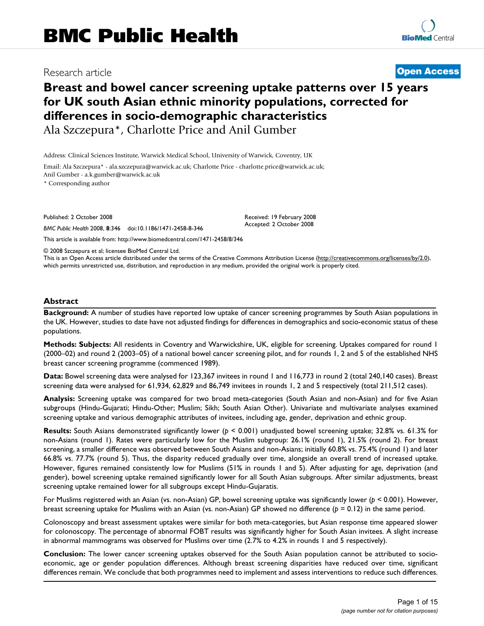# Research article **[Open Access](http://www.biomedcentral.com/info/about/charter/)**

# **Breast and bowel cancer screening uptake patterns over 15 years for UK south Asian ethnic minority populations, corrected for differences in socio-demographic characteristics** Ala Szczepura\*, Charlotte Price and Anil Gumber

Address: Clinical Sciences Institute, Warwick Medical School, University of Warwick, Coventry, UK

Email: Ala Szczepura\* - ala.szczepura@warwick.ac.uk; Charlotte Price - charlotte.price@warwick.ac.uk; Anil Gumber - a.k.gumber@warwick.ac.uk

\* Corresponding author

Published: 2 October 2008

*BMC Public Health* 2008, **8**:346 doi:10.1186/1471-2458-8-346

[This article is available from: http://www.biomedcentral.com/1471-2458/8/346](http://www.biomedcentral.com/1471-2458/8/346)

© 2008 Szczepura et al; licensee BioMed Central Ltd.

This is an Open Access article distributed under the terms of the Creative Commons Attribution License [\(http://creativecommons.org/licenses/by/2.0\)](http://creativecommons.org/licenses/by/2.0), which permits unrestricted use, distribution, and reproduction in any medium, provided the original work is properly cited.

Received: 19 February 2008 Accepted: 2 October 2008

#### **Abstract**

**Background:** A number of studies have reported low uptake of cancer screening programmes by South Asian populations in the UK. However, studies to date have not adjusted findings for differences in demographics and socio-economic status of these populations.

**Methods: Subjects:** All residents in Coventry and Warwickshire, UK, eligible for screening. Uptakes compared for round 1 (2000–02) and round 2 (2003–05) of a national bowel cancer screening pilot, and for rounds 1, 2 and 5 of the established NHS breast cancer screening programme (commenced 1989).

Data: Bowel screening data were analysed for 123,367 invitees in round 1 and 116,773 in round 2 (total 240,140 cases). Breast screening data were analysed for 61,934, 62,829 and 86,749 invitees in rounds 1, 2 and 5 respectively (total 211,512 cases).

**Analysis:** Screening uptake was compared for two broad meta-categories (South Asian and non-Asian) and for five Asian subgroups (Hindu-Gujarati; Hindu-Other; Muslim; Sikh; South Asian Other). Univariate and multivariate analyses examined screening uptake and various demographic attributes of invitees, including age, gender, deprivation and ethnic group.

**Results:** South Asians demonstrated significantly lower (*p* < 0.001) unadjusted bowel screening uptake; 32.8% vs. 61.3% for non-Asians (round 1). Rates were particularly low for the Muslim subgroup: 26.1% (round 1), 21.5% (round 2). For breast screening, a smaller difference was observed between South Asians and non-Asians; initially 60.8% vs. 75.4% (round 1) and later 66.8% vs. 77.7% (round 5). Thus, the disparity reduced gradually over time, alongside an overall trend of increased uptake. However, figures remained consistently low for Muslims (51% in rounds 1 and 5). After adjusting for age, deprivation (and gender), bowel screening uptake remained significantly lower for all South Asian subgroups. After similar adjustments, breast screening uptake remained lower for all subgroups except Hindu-Gujaratis.

For Muslims registered with an Asian (vs. non-Asian) GP, bowel screening uptake was significantly lower (*p* < 0.001). However, breast screening uptake for Muslims with an Asian (vs. non-Asian) GP showed no difference (*p* = 0.12) in the same period.

Colonoscopy and breast assessment uptakes were similar for both meta-categories, but Asian response time appeared slower for colonoscopy. The percentage of abnormal FOBT results was significantly higher for South Asian invitees. A slight increase in abnormal mammograms was observed for Muslims over time (2.7% to 4.2% in rounds 1 and 5 respectively).

**Conclusion:** The lower cancer screening uptakes observed for the South Asian population cannot be attributed to socioeconomic, age or gender population differences. Although breast screening disparities have reduced over time, significant differences remain. We conclude that both programmes need to implement and assess interventions to reduce such differences.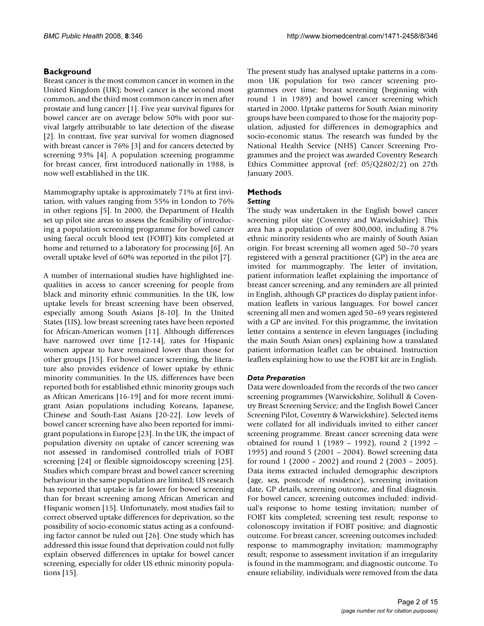# **Background**

Breast cancer is the most common cancer in women in the United Kingdom (UK); bowel cancer is the second most common, and the third most common cancer in men after prostate and lung cancer [1]. Five year survival figures for bowel cancer are on average below 50% with poor survival largely attributable to late detection of the disease [2]. In contrast, five year survival for women diagnosed with breast cancer is 76% [3] and for cancers detected by screening 93% [4]. A population screening programme for breast cancer, first introduced nationally in 1988, is now well established in the UK.

Mammography uptake is approximately 71% at first invitation, with values ranging from 55% in London to 76% in other regions [5]. In 2000, the Department of Health set up pilot site areas to assess the feasibility of introducing a population screening programme for bowel cancer using faecal occult blood test (FOBT) kits completed at home and returned to a laboratory for processing [6]. An overall uptake level of 60% was reported in the pilot [7].

A number of international studies have highlighted inequalities in access to cancer screening for people from black and minority ethnic communities. In the UK, low uptake levels for breast screening have been observed, especially among South Asians [8-10]. In the United States (US), low breast screening rates have been reported for African-American women [11]. Although differences have narrowed over time [12-14], rates for Hispanic women appear to have remained lower than those for other groups [15]. For bowel cancer screening, the literature also provides evidence of lower uptake by ethnic minority communities. In the US, differences have been reported both for established ethnic minority groups such as African Americans [16-19] and for more recent immigrant Asian populations including Koreans, Japanese, Chinese and South-East Asians [20-22]. Low levels of bowel cancer screening have also been reported for immigrant populations in Europe [23]. In the UK, the impact of population diversity on uptake of cancer screening was not assessed in randomised controlled trials of FOBT screening [24] or flexible sigmoidoscopy screening [25]. Studies which compare breast and bowel cancer screening behaviour in the same population are limited; US research has reported that uptake is far lower for bowel screening than for breast screening among African American and Hispanic women [15]. Unfortunately, most studies fail to correct observed uptake differences for deprivation, so the possibility of socio-economic status acting as a confounding factor cannot be ruled out [26]. One study which has addressed this issue found that deprivation could not fully explain observed differences in uptake for bowel cancer screening, especially for older US ethnic minority populations [15].

The present study has analysed uptake patterns in a common UK population for two cancer screening programmes over time: breast screening (beginning with round 1 in 1989) and bowel cancer screening which started in 2000. Uptake patterns for South Asian minority groups have been compared to those for the majority population, adjusted for differences in demographics and socio-economic status. The research was funded by the National Health Service (NHS) Cancer Screening Programmes and the project was awarded Coventry Research Ethics Committee approval (ref: 05/Q2802/2) on 27th January 2005.

# **Methods**

### *Setting*

The study was undertaken in the English bowel cancer screening pilot site (Coventry and Warwickshire). This area has a population of over 800,000, including 8.7% ethnic minority residents who are mainly of South Asian origin. For breast screening all women aged 50–70 years registered with a general practitioner (GP) in the area are invited for mammography. The letter of invitation, patient information leaflet explaining the importance of breast cancer screening, and any reminders are all printed in English, although GP practices do display patient information leaflets in various languages. For bowel cancer screening all men and women aged 50–69 years registered with a GP are invited. For this programme, the invitation letter contains a sentence in eleven languages (including the main South Asian ones) explaining how a translated patient information leaflet can be obtained. Instruction leaflets explaining how to use the FOBT kit are in English.

# *Data Preparation*

Data were downloaded from the records of the two cancer screening programmes (Warwickshire, Solihull & Coventry Breast Screening Service; and the English Bowel Cancer Screening Pilot, Coventry & Warwickshire). Selected items were collated for all individuals invited to either cancer screening programme. Breast cancer screening data were obtained for round 1 (1989 – 1992), round 2 (1992 – 1995) and round 5 (2001 – 2004). Bowel screening data for round 1 (2000 – 2002) and round 2 (2003 – 2005). Data items extracted included demographic descriptors (age, sex, postcode of residence), screening invitation date, GP details, screening outcome, and final diagnosis. For bowel cancer, screening outcomes included: individual's response to home testing invitation; number of FOBT kits completed; screening test result; response to colonoscopy invitation if FOBT positive; and diagnostic outcome. For breast cancer, screening outcomes included: response to mammography invitation; mammography result; response to assessment invitation if an irregularity is found in the mammogram; and diagnostic outcome. To ensure reliability, individuals were removed from the data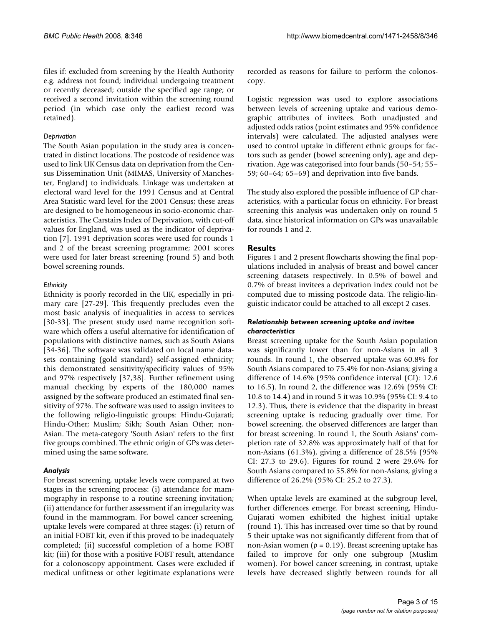files if: excluded from screening by the Health Authority e.g. address not found; individual undergoing treatment or recently deceased; outside the specified age range; or received a second invitation within the screening round period (in which case only the earliest record was retained).

#### *Deprivation*

The South Asian population in the study area is concentrated in distinct locations. The postcode of residence was used to link UK Census data on deprivation from the Census Dissemination Unit (MIMAS, University of Manchester, England) to individuals. Linkage was undertaken at electoral ward level for the 1991 Census and at Central Area Statistic ward level for the 2001 Census; these areas are designed to be homogeneous in socio-economic characteristics. The Carstairs Index of Deprivation, with cut-off values for England, was used as the indicator of deprivation [7]. 1991 deprivation scores were used for rounds 1 and 2 of the breast screening programme; 2001 scores were used for later breast screening (round 5) and both bowel screening rounds.

#### *Ethnicity*

Ethnicity is poorly recorded in the UK, especially in primary care [27-29]. This frequently precludes even the most basic analysis of inequalities in access to services [30-33]. The present study used name recognition software which offers a useful alternative for identification of populations with distinctive names, such as South Asians [34-36]. The software was validated on local name datasets containing (gold standard) self-assigned ethnicity; this demonstrated sensitivity/specificity values of 95% and 97% respectively [37,38]. Further refinement using manual checking by experts of the 180,000 names assigned by the software produced an estimated final sensitivity of 97%. The software was used to assign invitees to the following religio-linguistic groups: Hindu-Gujarati; Hindu-Other; Muslim; Sikh; South Asian Other; non-Asian. The meta-category 'South Asian' refers to the first five groups combined. The ethnic origin of GPs was determined using the same software.

#### *Analysis*

For breast screening, uptake levels were compared at two stages in the screening process: (i) attendance for mammography in response to a routine screening invitation; (ii) attendance for further assessment if an irregularity was found in the mammogram. For bowel cancer screening, uptake levels were compared at three stages: (i) return of an initial FOBT kit, even if this proved to be inadequately completed; (ii) successful completion of a home FOBT kit; (iii) for those with a positive FOBT result, attendance for a colonoscopy appointment. Cases were excluded if medical unfitness or other legitimate explanations were recorded as reasons for failure to perform the colonoscopy.

Logistic regression was used to explore associations between levels of screening uptake and various demographic attributes of invitees. Both unadjusted and adjusted odds ratios (point estimates and 95% confidence intervals) were calculated. The adjusted analyses were used to control uptake in different ethnic groups for factors such as gender (bowel screening only), age and deprivation. Age was categorised into four bands (50–54; 55– 59; 60–64; 65–69) and deprivation into five bands.

The study also explored the possible influence of GP characteristics, with a particular focus on ethnicity. For breast screening this analysis was undertaken only on round 5 data, since historical information on GPs was unavailable for rounds 1 and 2.

### **Results**

Figures 1 and 2 present flowcharts showing the final populations included in analysis of breast and bowel cancer screening datasets respectively. In 0.5% of bowel and 0.7% of breast invitees a deprivation index could not be computed due to missing postcode data. The religio-linguistic indicator could be attached to all except 2 cases.

#### *Relationship between screening uptake and invitee characteristics*

Breast screening uptake for the South Asian population was significantly lower than for non-Asians in all 3 rounds. In round 1, the observed uptake was 60.8% for South Asians compared to 75.4% for non-Asians; giving a difference of 14.6% (95% confidence interval (CI): 12.6 to 16.5). In round 2, the difference was 12.6% (95% CI: 10.8 to 14.4) and in round 5 it was 10.9% (95% CI: 9.4 to 12.3). Thus, there is evidence that the disparity in breast screening uptake is reducing gradually over time. For bowel screening, the observed differences are larger than for breast screening. In round 1, the South Asians' completion rate of 32.8% was approximately half of that for non-Asians (61.3%), giving a difference of 28.5% (95% CI: 27.3 to 29.6). Figures for round 2 were 29.6% for South Asians compared to 55.8% for non-Asians, giving a difference of 26.2% (95% CI: 25.2 to 27.3).

When uptake levels are examined at the subgroup level, further differences emerge. For breast screening, Hindu-Gujarati women exhibited the highest initial uptake (round 1). This has increased over time so that by round 5 their uptake was not significantly different from that of non-Asian women ( $p = 0.19$ ). Breast screening uptake has failed to improve for only one subgroup (Muslim women). For bowel cancer screening, in contrast, uptake levels have decreased slightly between rounds for all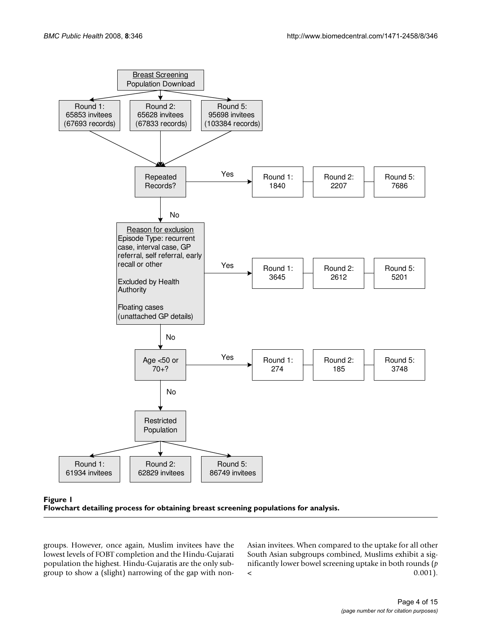

# Figure 1 **Flowchart detailing process for obtaining breast screening populations for analysis.**

groups. However, once again, Muslim invitees have the lowest levels of FOBT completion and the Hindu-Gujarati population the highest. Hindu-Gujaratis are the only subgroup to show a (slight) narrowing of the gap with nonAsian invitees. When compared to the uptake for all other South Asian subgroups combined, Muslims exhibit a significantly lower bowel screening uptake in both rounds (*p*  $<$  0.001).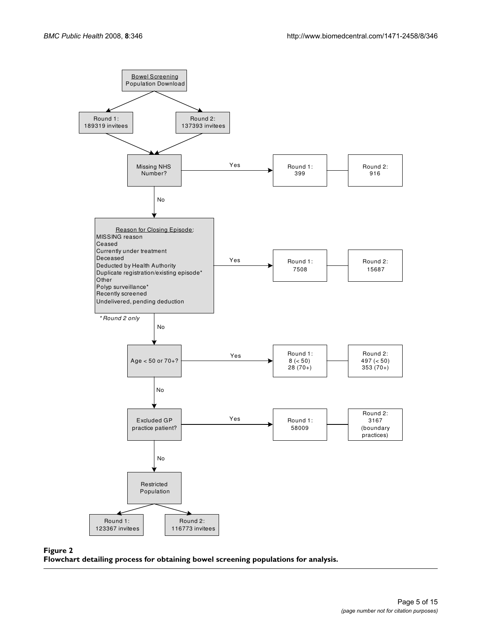

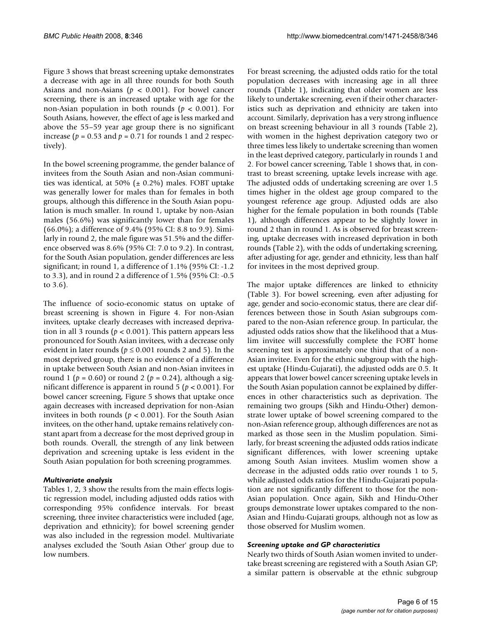Figure 3 shows that breast screening uptake demonstrates a decrease with age in all three rounds for both South Asians and non-Asians (*p* < 0.001). For bowel cancer screening, there is an increased uptake with age for the non-Asian population in both rounds (*p* < 0.001). For South Asians, however, the effect of age is less marked and above the 55–59 year age group there is no significant increase ( $p = 0.53$  and  $p = 0.71$  for rounds 1 and 2 respectively).

In the bowel screening programme, the gender balance of invitees from the South Asian and non-Asian communities was identical, at 50% ( $\pm$  0.2%) males. FOBT uptake was generally lower for males than for females in both groups, although this difference in the South Asian population is much smaller. In round 1, uptake by non-Asian males (56.6%) was significantly lower than for females (66.0%); a difference of 9.4% (95% CI: 8.8 to 9.9). Similarly in round 2, the male figure was 51.5% and the difference observed was 8.6% (95% CI: 7.0 to 9.2). In contrast, for the South Asian population, gender differences are less significant; in round 1, a difference of 1.1% (95% CI: -1.2 to 3.3), and in round 2 a difference of 1.5% (95% CI: -0.5 to 3.6).

The influence of socio-economic status on uptake of breast screening is shown in Figure 4. For non-Asian invitees, uptake clearly decreases with increased deprivation in all 3 rounds ( $p < 0.001$ ). This pattern appears less pronounced for South Asian invitees, with a decrease only evident in later rounds ( $p \le 0.001$  rounds 2 and 5). In the most deprived group, there is no evidence of a difference in uptake between South Asian and non-Asian invitees in round 1 ( $p = 0.60$ ) or round 2 ( $p = 0.24$ ), although a significant difference is apparent in round 5 (*p* < 0.001). For bowel cancer screening, Figure 5 shows that uptake once again decreases with increased deprivation for non-Asian invitees in both rounds (*p* < 0.001). For the South Asian invitees, on the other hand, uptake remains relatively constant apart from a decrease for the most deprived group in both rounds. Overall, the strength of any link between deprivation and screening uptake is less evident in the South Asian population for both screening programmes.

#### *Multivariate analysis*

Tables 1, 2, 3 show the results from the main effects logistic regression model, including adjusted odds ratios with corresponding 95% confidence intervals. For breast screening, three invitee characteristics were included (age, deprivation and ethnicity); for bowel screening gender was also included in the regression model. Multivariate analyses excluded the 'South Asian Other' group due to low numbers.

For breast screening, the adjusted odds ratio for the total population decreases with increasing age in all three rounds (Table 1), indicating that older women are less likely to undertake screening, even if their other characteristics such as deprivation and ethnicity are taken into account. Similarly, deprivation has a very strong influence on breast screening behaviour in all 3 rounds (Table 2), with women in the highest deprivation category two or three times less likely to undertake screening than women in the least deprived category, particularly in rounds 1 and 2. For bowel cancer screening, Table 1 shows that, in contrast to breast screening, uptake levels increase with age. The adjusted odds of undertaking screening are over 1.5 times higher in the oldest age group compared to the youngest reference age group. Adjusted odds are also higher for the female population in both rounds (Table 1), although differences appear to be slightly lower in round 2 than in round 1. As is observed for breast screening, uptake decreases with increased deprivation in both rounds (Table 2), with the odds of undertaking screening, after adjusting for age, gender and ethnicity, less than half for invitees in the most deprived group.

The major uptake differences are linked to ethnicity (Table 3). For bowel screening, even after adjusting for age, gender and socio-economic status, there are clear differences between those in South Asian subgroups compared to the non-Asian reference group. In particular, the adjusted odds ratios show that the likelihood that a Muslim invitee will successfully complete the FOBT home screening test is approximately one third that of a non-Asian invitee. Even for the ethnic subgroup with the highest uptake (Hindu-Gujarati), the adjusted odds are 0.5. It appears that lower bowel cancer screening uptake levels in the South Asian population cannot be explained by differences in other characteristics such as deprivation. The remaining two groups (Sikh and Hindu-Other) demonstrate lower uptake of bowel screening compared to the non-Asian reference group, although differences are not as marked as those seen in the Muslim population. Similarly, for breast screening the adjusted odds ratios indicate significant differences, with lower screening uptake among South Asian invitees. Muslim women show a decrease in the adjusted odds ratio over rounds 1 to 5, while adjusted odds ratios for the Hindu-Gujarati population are not significantly different to those for the non-Asian population. Once again, Sikh and Hindu-Other groups demonstrate lower uptakes compared to the non-Asian and Hindu-Gujarati groups, although not as low as those observed for Muslim women.

#### *Screening uptake and GP characteristics*

Nearly two thirds of South Asian women invited to undertake breast screening are registered with a South Asian GP; a similar pattern is observable at the ethnic subgroup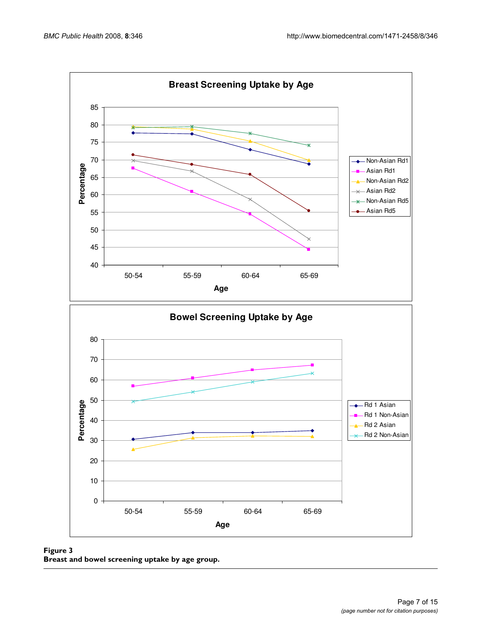

**Figure 3 Breast and bowel screening uptake by age group.**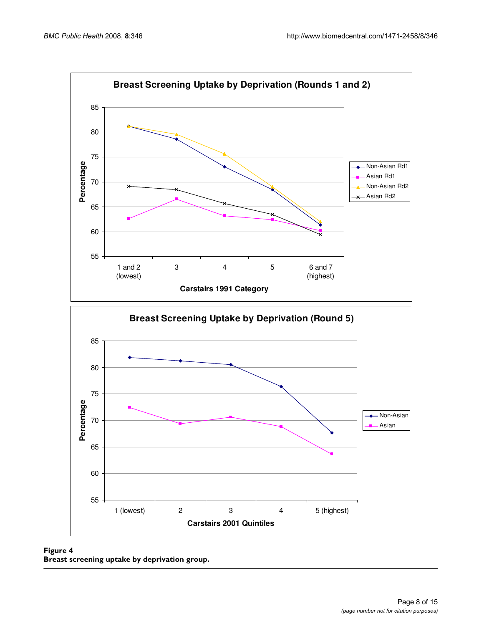

**Figure 4 Breast screening uptake by deprivation group.**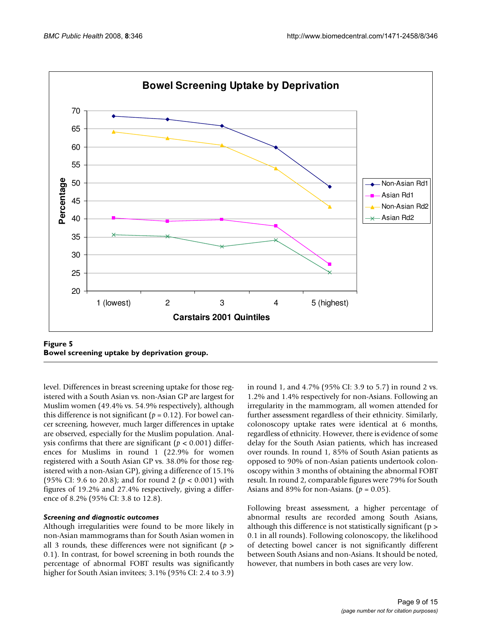

**Figure 5 Bowel screening uptake by deprivation group.**

level. Differences in breast screening uptake for those registered with a South Asian vs. non-Asian GP are largest for Muslim women (49.4% vs. 54.9% respectively), although this difference is not significant  $(p = 0.12)$ . For bowel cancer screening, however, much larger differences in uptake are observed, especially for the Muslim population. Analysis confirms that there are significant (*p* < 0.001) differences for Muslims in round 1 (22.9% for women registered with a South Asian GP vs. 38.0% for those registered with a non-Asian GP), giving a difference of 15.1% (95% CI: 9.6 to 20.8); and for round 2 (*p* < 0.001) with figures of 19.2% and 27.4% respectively, giving a difference of 8.2% (95% CI: 3.8 to 12.8).

#### *Screening and diagnostic outcomes*

Although irregularities were found to be more likely in non-Asian mammograms than for South Asian women in all 3 rounds, these differences were not significant (*p* > 0.1). In contrast, for bowel screening in both rounds the percentage of abnormal FOBT results was significantly higher for South Asian invitees; 3.1% (95% CI: 2.4 to 3.9)

in round 1, and 4.7% (95% CI: 3.9 to 5.7) in round 2 vs. 1.2% and 1.4% respectively for non-Asians. Following an irregularity in the mammogram, all women attended for further assessment regardless of their ethnicity. Similarly, colonoscopy uptake rates were identical at 6 months, regardless of ethnicity. However, there is evidence of some delay for the South Asian patients, which has increased over rounds. In round 1, 85% of South Asian patients as opposed to 90% of non-Asian patients undertook colonoscopy within 3 months of obtaining the abnormal FOBT result. In round 2, comparable figures were 79% for South Asians and 89% for non-Asians. (*p* = 0.05).

Following breast assessment, a higher percentage of abnormal results are recorded among South Asians, although this difference is not statistically significant (p > 0.1 in all rounds). Following colonoscopy, the likelihood of detecting bowel cancer is not significantly different between South Asians and non-Asians. It should be noted, however, that numbers in both cases are very low.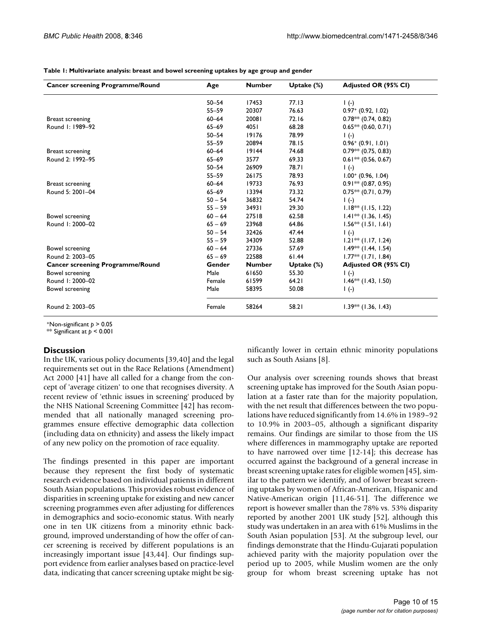| <b>Cancer screening Programme/Round</b> | Age       | <b>Number</b> | Uptake (%) | Adjusted OR (95% CI)    |
|-----------------------------------------|-----------|---------------|------------|-------------------------|
|                                         | $50 - 54$ | 17453         | 77.13      | $\mathsf{I}(\cdot)$     |
|                                         | $55 - 59$ | 20307         | 76.63      | $0.97$ + $(0.92, 1.02)$ |
| Breast screening                        | $60 - 64$ | 20081         | 72.16      | $0.78** (0.74, 0.82)$   |
| Round 1: 1989-92                        | $65 - 69$ | 4051          | 68.28      | $0.65**$ (0.60, 0.71)   |
|                                         | $50 - 54$ | 19176         | 78.99      | $\mathsf{I}(\cdot)$     |
|                                         | $55 - 59$ | 20894         | 78.15      | $0.96+ (0.91, 1.01)$    |
| Breast screening                        | $60 - 64$ | 19144         | 74.68      | $0.79**$ (0.75, 0.83)   |
| Round 2: 1992-95                        | $65 - 69$ | 3577          | 69.33      | $0.61**$ (0.56, 0.67)   |
|                                         | $50 - 54$ | 26909         | 78.71      | $\mathsf{I}(\cdot)$     |
|                                         | $55 - 59$ | 26175         | 78.93      | $1.00^{+}$ (0.96, 1.04) |
| Breast screening                        | $60 - 64$ | 19733         | 76.93      | $0.91** (0.87, 0.95)$   |
| Round 5: 2001-04                        | $65 - 69$ | 13394         | 73.32      | $0.75**$ (0.71, 0.79)   |
|                                         | $50 - 54$ | 36832         | 54.74      | $\mathsf{I}(\cdot)$     |
|                                         | $55 - 59$ | 34931         | 29.30      | $1.18**$ (1.15, 1.22)   |
| Bowel screening                         | $60 - 64$ | 27518         | 62.58      | $1.41**$ (1.36, 1.45)   |
| Round 1: 2000-02                        | $65 - 69$ | 23968         | 64.86      | $1.56**$ (1.51, 1.61)   |
|                                         | $50 - 54$ | 32426         | 47.44      | $\mathsf{I}(\cdot)$     |
|                                         | $55 - 59$ | 34309         | 52.88      | $1.21**$ (1.17, 1.24)   |
| Bowel screening                         | $60 - 64$ | 27336         | 57.69      | $1.49**$ (1.44, 1.54)   |
| Round 2: 2003-05                        | $65 - 69$ | 22588         | 61.44      | $1.77**$ (1.71, 1.84)   |
| <b>Cancer screening Programme/Round</b> | Gender    | <b>Number</b> | Uptake (%) | Adjusted OR (95% CI)    |
| Bowel screening                         | Male      | 61650         | 55.30      | $\mathsf{I}(\cdot)$     |
| Round 1: 2000-02                        | Female    | 61599         | 64.21      | $1.46**$ (1.43, 1.50)   |
| Bowel screening                         | Male      | 58395         | 50.08      | $\mathsf{I}(\cdot)$     |
| Round 2: 2003-05                        | Female    | 58264         | 58.21      | $1.39**$ (1.36, 1.43)   |

+Non-significant *p* > 0.05

\*\* Significant at *p* < 0.001

#### **Discussion**

In the UK, various policy documents [39,40] and the legal requirements set out in the Race Relations (Amendment) Act 2000 [41] have all called for a change from the concept of 'average citizen' to one that recognises diversity. A recent review of 'ethnic issues in screening' produced by the NHS National Screening Committee [42] has recommended that all nationally managed screening programmes ensure effective demographic data collection (including data on ethnicity) and assess the likely impact of any new policy on the promotion of race equality.

The findings presented in this paper are important because they represent the first body of systematic research evidence based on individual patients in different South Asian populations. This provides robust evidence of disparities in screening uptake for existing and new cancer screening programmes even after adjusting for differences in demographics and socio-economic status. With nearly one in ten UK citizens from a minority ethnic background, improved understanding of how the offer of cancer screening is received by different populations is an increasingly important issue [43,44]. Our findings support evidence from earlier analyses based on practice-level data, indicating that cancer screening uptake might be significantly lower in certain ethnic minority populations such as South Asians [8].

Our analysis over screening rounds shows that breast screening uptake has improved for the South Asian population at a faster rate than for the majority population, with the net result that differences between the two populations have reduced significantly from 14.6% in 1989–92 to 10.9% in 2003–05, although a significant disparity remains. Our findings are similar to those from the US where differences in mammography uptake are reported to have narrowed over time [12-14]; this decrease has occurred against the background of a general increase in breast screening uptake rates for eligible women [45], similar to the pattern we identify, and of lower breast screening uptakes by women of African-American, Hispanic and Native-American origin [11,46-51]. The difference we report is however smaller than the 78% vs. 53% disparity reported by another 2001 UK study [52], although this study was undertaken in an area with 61% Muslims in the South Asian population [53]. At the subgroup level, our findings demonstrate that the Hindu-Gujarati population achieved parity with the majority population over the period up to 2005, while Muslim women are the only group for whom breast screening uptake has not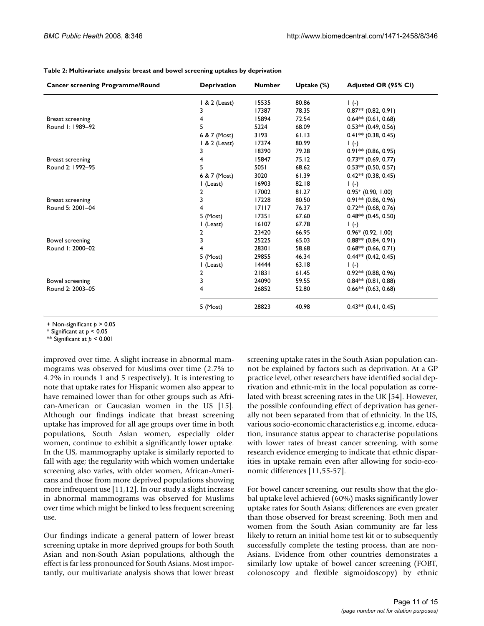**Table 2: Multivariate analysis: breast and bowel screening uptakes by deprivation**

| <b>Cancer screening Programme/Round</b> | <b>Deprivation</b> | <b>Number</b> | Uptake (%) | Adjusted OR (95% CI)   |
|-----------------------------------------|--------------------|---------------|------------|------------------------|
|                                         | $1 & 2$ (Least)    | 15535         | 80.86      | $\mathsf{I}(\cdot)$    |
|                                         |                    | 17387         | 78.35      | $0.87**$ (0.82, 0.91)  |
| Breast screening                        |                    | 15894         | 72.54      | $0.64**$ (0.61, 0.68)  |
| Round 1: 1989-92                        | 5                  | 5224          | 68.09      | $0.53**$ (0.49, 0.56)  |
|                                         | 6 & 7 (Most)       | 3193          | 61.13      | $0.41**$ (0.38, 0.45)  |
|                                         | $1 & 2$ (Least)    | 17374         | 80.99      | $\mathsf{I}(\cdot)$    |
|                                         |                    | 18390         | 79.28      | $0.91**$ (0.86, 0.95)  |
| Breast screening                        |                    | 15847         | 75.12      | $0.73***$ (0.69, 0.77) |
| Round 2: 1992-95                        | 5                  | 5051          | 68.62      | $0.53**$ (0.50, 0.57)  |
|                                         | 6 & 7 (Most)       | 3020          | 61.39      | $0.42**$ (0.38, 0.45)  |
|                                         | I (Least)          | 16903         | 82.18      | $\mathsf{I}(\cdot)$    |
|                                         | 2                  | 17002         | 81.27      | $0.95+ (0.90, 1.00)$   |
| Breast screening                        |                    | 17228         | 80.50      | $0.91**$ (0.86, 0.96)  |
| Round 5: 2001-04                        |                    | 17117         | 76.37      | $0.72**$ (0.68, 0.76)  |
|                                         | 5 (Most)           | 17351         | 67.60      | $0.48**$ (0.45, 0.50)  |
|                                         | (Least)            | 16107         | 67.78      | $\mathsf{I}(\cdot)$    |
|                                         | 2                  | 23420         | 66.95      | $0.96*$ (0.92, 1.00)   |
| Bowel screening                         | 3                  | 25225         | 65.03      | $0.88**$ (0.84, 0.91)  |
| Round 1: 2000-02                        |                    | 28301         | 58.68      | $0.68**$ (0.66, 0.71)  |
|                                         | 5 (Most)           | 29855         | 46.34      | $0.44***$ (0.42, 0.45) |
|                                         | I (Least)          | 14444         | 63.18      | $\mathsf{I}(\cdot)$    |
|                                         | 2                  | 21831         | 61.45      | $0.92**$ (0.88, 0.96)  |
| Bowel screening                         | 3                  | 24090         | 59.55      | $0.84**$ (0.81, 0.88)  |
| Round 2: 2003-05                        |                    | 26852         | 52.80      | $0.66***$ (0.63, 0.68) |
|                                         | 5 (Most)           | 28823         | 40.98      | $0.43**$ (0.41, 0.45)  |

+ Non-significant *p* > 0.05

\* Significant at p < 0.05

\*\* Significant at *p* < 0.001

improved over time. A slight increase in abnormal mammograms was observed for Muslims over time (2.7% to 4.2% in rounds 1 and 5 respectively). It is interesting to note that uptake rates for Hispanic women also appear to have remained lower than for other groups such as African-American or Caucasian women in the US [15]. Although our findings indicate that breast screening uptake has improved for all age groups over time in both populations, South Asian women, especially older women, continue to exhibit a significantly lower uptake. In the US, mammography uptake is similarly reported to fall with age; the regularity with which women undertake screening also varies, with older women, African-Americans and those from more deprived populations showing more infrequent use [11,12]. In our study a slight increase in abnormal mammograms was observed for Muslims over time which might be linked to less frequent screening use.

Our findings indicate a general pattern of lower breast screening uptake in more deprived groups for both South Asian and non-South Asian populations, although the effect is far less pronounced for South Asians. Most importantly, our multivariate analysis shows that lower breast screening uptake rates in the South Asian population cannot be explained by factors such as deprivation. At a GP practice level, other researchers have identified social deprivation and ethnic-mix in the local population as correlated with breast screening rates in the UK [54]. However, the possible confounding effect of deprivation has generally not been separated from that of ethnicity. In the US, various socio-economic characteristics e.g. income, education, insurance status appear to characterise populations with lower rates of breast cancer screening, with some research evidence emerging to indicate that ethnic disparities in uptake remain even after allowing for socio-economic differences [11,55-57].

For bowel cancer screening, our results show that the global uptake level achieved (60%) masks significantly lower uptake rates for South Asians; differences are even greater than those observed for breast screening. Both men and women from the South Asian community are far less likely to return an initial home test kit or to subsequently successfully complete the testing process, than are non-Asians. Evidence from other countries demonstrates a similarly low uptake of bowel cancer screening (FOBT, colonoscopy and flexible sigmoidoscopy) by ethnic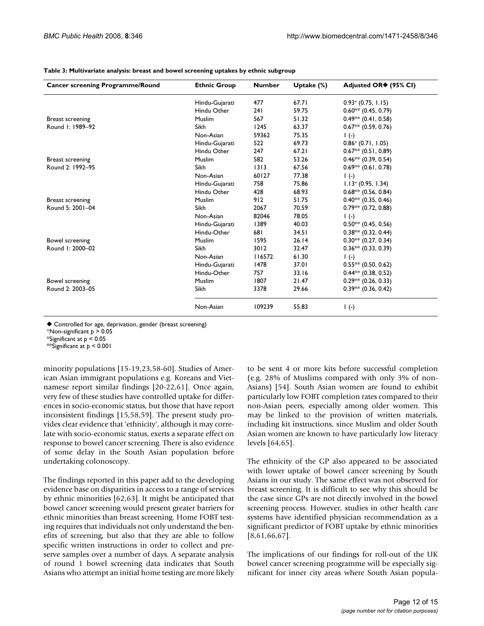| <b>Cancer screening Programme/Round</b> | <b>Ethnic Group</b> | <b>Number</b> | Uptake (%) | Adjusted OR♦ (95% CI)   |
|-----------------------------------------|---------------------|---------------|------------|-------------------------|
|                                         | Hindu-Gujarati      | 477           | 67.71      | $0.93^{+}$ (0.75, 1.15) |
|                                         | Hindu Other         | <b>241</b>    | 59.75      | $0.60**$ (0.45, 0.79)   |
| Breast screening                        | <b>Muslim</b>       | 567           | 51.32      | $0.49**$ (0.41, 0.58)   |
| Round 1: 1989-92                        | <b>Sikh</b>         | 1245          | 63.37      | $0.67**$ (0.59, 0.76)   |
|                                         | Non-Asian           | 59362         | 75.35      | $\mathsf{I}(\cdot)$     |
|                                         | Hindu-Gujarati      | 522           | 69.73      | $0.86+ (0.71, 1.05)$    |
|                                         | Hindu Other         | 247           | 67.21      | $0.67**$ (0.51, 0.89)   |
| Breast screening                        | Muslim              | 582           | 53.26      | $0.46**$ (0.39, 0.54)   |
| Round 2: 1992-95                        | <b>Sikh</b>         | 1313          | 67.56      | $0.69** (0.61, 0.78)$   |
|                                         | Non-Asian           | 60127         | 77.38      | $\mathsf{I}(\cdot)$     |
|                                         | Hindu-Gujarati      | 758           | 75.86      | $1.13+ (0.95, 1.34)$    |
|                                         | Hindu Other         | 428           | 68.93      | $0.68**$ (0.56, 0.84)   |
| Breast screening                        | <b>Muslim</b>       | 912           | 51.75      | $0.40***$ (0.35, 0.46)  |
| Round 5: 2001-04                        | <b>Sikh</b>         | 2067          | 70.59      | $0.79** (0.72, 0.88)$   |
|                                         | Non-Asian           | 82046         | 78.05      | $\mathsf{I}(\cdot)$     |
|                                         | Hindu-Gujarati      | 1389          | 40.03      | $0.50** (0.45, 0.56)$   |
|                                         | Hindu-Other         | 681           | 34.51      | $0.38** (0.32, 0.44)$   |
| Bowel screening                         | <b>Muslim</b>       | 1595          | 26.14      | $0.30***$ (0.27, 0.34)  |
| Round 1: 2000-02                        | <b>Sikh</b>         | 3012          | 32.47      | $0.36** (0.33, 0.39)$   |
|                                         | Non-Asian           | 116572        | 61.30      | $\mathsf{I}(\cdot)$     |
|                                         | Hindu-Gujarati      | 1478          | 37.01      | $0.55***$ (0.50, 0.62)  |
|                                         | Hindu-Other         | 757           | 33.16      | $0.44**$ (0.38, 0.52)   |
| Bowel screening                         | <b>Muslim</b>       | 1807          | 21.47      | $0.29** (0.26, 0.33)$   |
| Round 2: 2003-05                        | <b>Sikh</b>         | 3378          | 29.66      | $0.39** (0.36, 0.42)$   |
|                                         | Non-Asian           | 109239        | 55.83      | $\mathsf{I}(\cdot)$     |

**Table 3: Multivariate analysis: breast and bowel screening uptakes by ethnic subgroup**

◆ Controlled for age, deprivation, gender (breast screening)

+Non-significant *p* > 0.05

\*Significant at p < 0.05

\*\*Significant at *p* < 0.001

minority populations [15-19,23,58-60]. Studies of American Asian immigrant populations e.g. Koreans and Vietnamese report similar findings [20-22,61]. Once again, very few of these studies have controlled uptake for differences in socio-economic status, but those that have report inconsistent findings [15,58,59]. The present study provides clear evidence that 'ethnicity', although it may correlate with socio-economic status, exerts a separate effect on response to bowel cancer screening. There is also evidence of some delay in the South Asian population before undertaking colonoscopy.

The findings reported in this paper add to the developing evidence base on disparities in access to a range of services by ethnic minorities [62,63]. It might be anticipated that bowel cancer screening would present greater barriers for ethnic minorities than breast screening. Home FOBT testing requires that individuals not only understand the benefits of screening, but also that they are able to follow specific written instructions in order to collect and preserve samples over a number of days. A separate analysis of round 1 bowel screening data indicates that South Asians who attempt an initial home testing are more likely

to be sent 4 or more kits before successful completion (e.g. 28% of Muslims compared with only 3% of non-Asians) [54]. South Asian women are found to exhibit particularly low FOBT completion rates compared to their non-Asian peers, especially among older women. This may be linked to the provision of written materials, including kit instructions, since Muslim and older South Asian women are known to have particularly low literacy levels [64,65].

The ethnicity of the GP also appeared to be associated with lower uptake of bowel cancer screening by South Asians in our study. The same effect was not observed for breast screening. It is difficult to see why this should be the case since GPs are not directly involved in the bowel screening process. However, studies in other health care systems have identified physician recommendation as a significant predictor of FOBT uptake by ethnic minorities [8,61,66,67].

The implications of our findings for roll-out of the UK bowel cancer screening programme will be especially significant for inner city areas where South Asian popula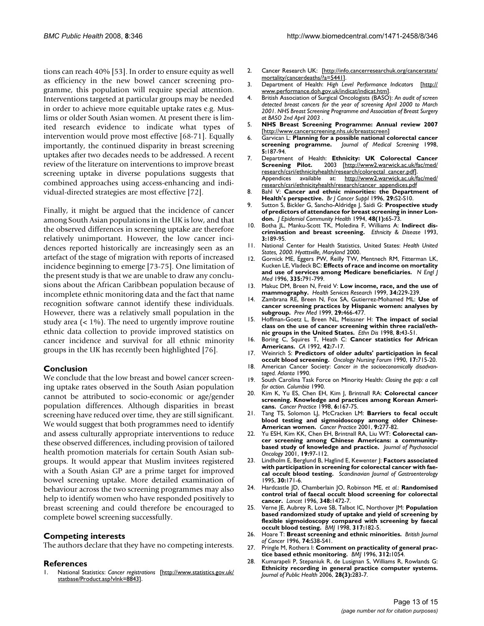tions can reach 40% [53]. In order to ensure equity as well as efficiency in the new bowel cancer screening programme, this population will require special attention. Interventions targeted at particular groups may be needed in order to achieve more equitable uptake rates e.g. Muslims or older South Asian women. At present there is limited research evidence to indicate what types of intervention would prove most effective [68-71]. Equally importantly, the continued disparity in breast screening uptakes after two decades needs to be addressed. A recent review of the literature on interventions to improve breast screening uptake in diverse populations suggests that combined approaches using access-enhancing and individual-directed strategies are most effective [72].

Finally, it might be argued that the incidence of cancer among South Asian populations in the UK is low, and that the observed differences in screening uptake are therefore relatively unimportant. However, the low cancer incidences reported historically are increasingly seen as an artefact of the stage of migration with reports of increased incidence beginning to emerge [73-75]. One limitation of the present study is that we are unable to draw any conclusions about the African Caribbean population because of incomplete ethnic monitoring data and the fact that name recognition software cannot identify these individuals. However, there was a relatively small population in the study area  $(< 1\%)$ . The need to urgently improve routine ethnic data collection to provide improved statistics on cancer incidence and survival for all ethnic minority groups in the UK has recently been highlighted [76].

#### **Conclusion**

We conclude that the low breast and bowel cancer screening uptake rates observed in the South Asian population cannot be attributed to socio-economic or age/gender population differences. Although disparities in breast screening have reduced over time, they are still significant. We would suggest that both programmes need to identify and assess culturally appropriate interventions to reduce these observed differences, including provision of tailored health promotion materials for certain South Asian subgroups. It would appear that Muslim invitees registered with a South Asian GP are a prime target for improved bowel screening uptake. More detailed examination of behaviour across the two screening programmes may also help to identify women who have responded positively to breast screening and could therefore be encouraged to complete bowel screening successfully.

#### **Competing interests**

The authors declare that they have no competing interests.

#### **References**

1. National Statistics: *Cancer registrations* [[http://www.statistics.gov.uk/](http://www.statistics.gov.uk/statbase/Product.asp?vlnk=8843) [statbase/Product.asp?vlnk=8843](http://www.statistics.gov.uk/statbase/Product.asp?vlnk=8843)].

- 2. Cancer Research UK: [[http://info.cancerresearchuk.org/cancerstats/](http://info.cancerresearchuk.org/cancerstats/mortality/cancerdeaths/?a=5441) [mortality/cancerdeaths/?a=5441](http://info.cancerresearchuk.org/cancerstats/mortality/cancerdeaths/?a=5441)].
- 3. Department of Health: *High Level Performance Indicators* [\[http://](http://www.performance.doh.gov.uk/indicat/indicat.htm) [www.performance.doh.gov.uk/indicat/indicat.htm\]](http://www.performance.doh.gov.uk/indicat/indicat.htm).
- 4. British Association of Surgical Oncologists (BASO): *An audit of screen detected breast cancers for the year of screening April 2000 to March 2001. NHS Breast Screening Programme and Association of Breast Surgery at BASO 2nd April 2003* .
- 5. **NHS Breast Screening Programme: Annual review 2007** [[http://www.cancerscreening.nhs.uk/breastscreen\]](http://www.cancerscreening.nhs.uk/breastscreen)
- 6. Garvican L: **[Planning for a possible national colorectal cancer](http://www.ncbi.nlm.nih.gov/entrez/query.fcgi?cmd=Retrieve&db=PubMed&dopt=Abstract&list_uids=9934649) [screening programme.](http://www.ncbi.nlm.nih.gov/entrez/query.fcgi?cmd=Retrieve&db=PubMed&dopt=Abstract&list_uids=9934649)** *Journal of Medical Screening* 1998, **5:**187-94.
- 7. Department of Health: **Ethnicity: UK Colorectal Cancer Screening Pilot.** 2003 [\[http://www2.warwick.ac.uk/fac/med/](http://www2.warwick.ac.uk/fac/med/research/csri/ethnicityhealth/research/colorectal_cancer.pdf) [research/csri/ethnicityhealth/research/colorectal\\_cancer.pdf\]](http://www2.warwick.ac.uk/fac/med/research/csri/ethnicityhealth/research/colorectal_cancer.pdf). Appendices available at: [http://www2.warwick.ac.uk/fac/med/](http://www2.warwick.ac.uk/fac/med/research/csri/ethnicityhealth/research/cancer_appendices.pdf) [research/csri/ethnicityhealth/research/cancer\\_appendices.pdf](http://www2.warwick.ac.uk/fac/med/research/csri/ethnicityhealth/research/cancer_appendices.pdf)
- 8. Bahl V: **[Cancer and ethnic minorities: the Department of](http://www.ncbi.nlm.nih.gov/entrez/query.fcgi?cmd=Retrieve&db=PubMed&dopt=Abstract&list_uids=8782792) [Health's perspective.](http://www.ncbi.nlm.nih.gov/entrez/query.fcgi?cmd=Retrieve&db=PubMed&dopt=Abstract&list_uids=8782792)** *Br J Cancer Suppl* 1996, **29:**S2-S10.
- 9. Sutton S, Bickler G, Sancho-Aldridge J, Saidi G: **[Prospective study](http://www.ncbi.nlm.nih.gov/entrez/query.fcgi?cmd=Retrieve&db=PubMed&dopt=Abstract&list_uids=8138773) [of predictors of attendance for breast screening in inner Lon](http://www.ncbi.nlm.nih.gov/entrez/query.fcgi?cmd=Retrieve&db=PubMed&dopt=Abstract&list_uids=8138773)[don.](http://www.ncbi.nlm.nih.gov/entrez/query.fcgi?cmd=Retrieve&db=PubMed&dopt=Abstract&list_uids=8138773)** *J Epidemiol Community Health* 1994, **48(1):**65-73.
- 10. Botha JL, Manku-Scott TK, Moledina F, Williams A: **[Indirect dis](http://www.ncbi.nlm.nih.gov/entrez/query.fcgi?cmd=Retrieve&db=PubMed&dopt=Abstract&list_uids=8324497)[crimination and breast screening.](http://www.ncbi.nlm.nih.gov/entrez/query.fcgi?cmd=Retrieve&db=PubMed&dopt=Abstract&list_uids=8324497)** *Ethnicity & Disease* 1993, **3:**189-95.
- 11. National Center for Health Statistics, United States: *Health United States, 2000. Hyattsville, Maryland* 2000.
- 12. Gornick ME, Eggers PW, Reilly TW, Mentnech RM, Fitterman LK, Kucken LE, Vladeck BC: **[Effects of race and income on mortality](http://www.ncbi.nlm.nih.gov/entrez/query.fcgi?cmd=Retrieve&db=PubMed&dopt=Abstract&list_uids=8703185) [and use of services among Medicare beneficiaries.](http://www.ncbi.nlm.nih.gov/entrez/query.fcgi?cmd=Retrieve&db=PubMed&dopt=Abstract&list_uids=8703185)** *N Engl J Med* 1996, **335:**791-799.
- 13. Makuc DM, Breen N, Freid V: **[Low income, race, and the use of](http://www.ncbi.nlm.nih.gov/entrez/query.fcgi?cmd=Retrieve&db=PubMed&dopt=Abstract&list_uids=10199671) [mammography.](http://www.ncbi.nlm.nih.gov/entrez/query.fcgi?cmd=Retrieve&db=PubMed&dopt=Abstract&list_uids=10199671)** *Health Services Research* 1999, **34:**229-239.
- 14. Zambrana RE, Breen N, Fox SA, Gutierrez-Mohamed ML: **[Use of](http://www.ncbi.nlm.nih.gov/entrez/query.fcgi?cmd=Retrieve&db=PubMed&dopt=Abstract&list_uids=10600427) [cancer screening practices by Hispanic women: analyses by](http://www.ncbi.nlm.nih.gov/entrez/query.fcgi?cmd=Retrieve&db=PubMed&dopt=Abstract&list_uids=10600427) [subgroup.](http://www.ncbi.nlm.nih.gov/entrez/query.fcgi?cmd=Retrieve&db=PubMed&dopt=Abstract&list_uids=10600427)** *Prev Med* 1999, **29:**466-477.
- 15. Hoffman-Goetz L, Breen NL, Meissner H: **[The impact of social](http://www.ncbi.nlm.nih.gov/entrez/query.fcgi?cmd=Retrieve&db=PubMed&dopt=Abstract&list_uids=9595247) [class on the use of cancer screening within three racial/eth](http://www.ncbi.nlm.nih.gov/entrez/query.fcgi?cmd=Retrieve&db=PubMed&dopt=Abstract&list_uids=9595247)[nic groups in the United States.](http://www.ncbi.nlm.nih.gov/entrez/query.fcgi?cmd=Retrieve&db=PubMed&dopt=Abstract&list_uids=9595247)** *Ethn Dis* 1998, **8:**43-51.
- 16. Boring C, Squires T, Heath C: **[Cancer statistics for African](http://www.ncbi.nlm.nih.gov/entrez/query.fcgi?cmd=Retrieve&db=PubMed&dopt=Abstract&list_uids=1728341) [Americans.](http://www.ncbi.nlm.nih.gov/entrez/query.fcgi?cmd=Retrieve&db=PubMed&dopt=Abstract&list_uids=1728341)** *CA* 1992, **42:**7-17.
- 17. Weinrich S: **[Predictors of older adults' participation in fecal](http://www.ncbi.nlm.nih.gov/entrez/query.fcgi?cmd=Retrieve&db=PubMed&dopt=Abstract&list_uids=2251189) [occult blood screening.](http://www.ncbi.nlm.nih.gov/entrez/query.fcgi?cmd=Retrieve&db=PubMed&dopt=Abstract&list_uids=2251189)** *Oncology Nursing Forum* 1990, **17:**715-20.
- 18. American Cancer Society: *Cancer in the socioeconomically disadvantaged. Atlanta* 1990.
- 19. South Carolina Task Force on Minority Health: *Closing the gap: a call for action. Columbia* 1990.
- 20. Kim K, Yu ES, Chen EH, Kim J, Brintnall RA: **[Colorectal cancer](http://www.ncbi.nlm.nih.gov/entrez/query.fcgi?cmd=Retrieve&db=PubMed&dopt=Abstract&list_uids=9652248) [screening. Knowledge and practices among Korean Ameri](http://www.ncbi.nlm.nih.gov/entrez/query.fcgi?cmd=Retrieve&db=PubMed&dopt=Abstract&list_uids=9652248)[cans.](http://www.ncbi.nlm.nih.gov/entrez/query.fcgi?cmd=Retrieve&db=PubMed&dopt=Abstract&list_uids=9652248)** *Cancer Practice* 1998, **6:**167-75.
- 21. Tang TS, Solomon LJ, McCracken LM: **[Barriers to fecal occult](http://www.ncbi.nlm.nih.gov/entrez/query.fcgi?cmd=Retrieve&db=PubMed&dopt=Abstract&list_uids=11879329) [blood testing and sigmoidoscopy among older Chinese-](http://www.ncbi.nlm.nih.gov/entrez/query.fcgi?cmd=Retrieve&db=PubMed&dopt=Abstract&list_uids=11879329)[American women.](http://www.ncbi.nlm.nih.gov/entrez/query.fcgi?cmd=Retrieve&db=PubMed&dopt=Abstract&list_uids=11879329)** *Cancer Practice* 2001, **9:**277-82.
- 22. Yu ESH, Kim KK, Chen EH, Brintnall RA, Liu WT: **Colorectal cancer screening among Chinese Americans: a communitybased study of knowledge and practice.** *Journal of Psychosocial Oncology* 2001, **19:**97-112.
- 23. Lindholm E, Berglund B, Haglind E, Kewenter J: **[Factors associated](http://www.ncbi.nlm.nih.gov/entrez/query.fcgi?cmd=Retrieve&db=PubMed&dopt=Abstract&list_uids=7732341) [with participation in screening for colorectal cancer with fae](http://www.ncbi.nlm.nih.gov/entrez/query.fcgi?cmd=Retrieve&db=PubMed&dopt=Abstract&list_uids=7732341)[cal occult blood testing.](http://www.ncbi.nlm.nih.gov/entrez/query.fcgi?cmd=Retrieve&db=PubMed&dopt=Abstract&list_uids=7732341)** *Scandinavian Journal of Gastroenterology* 1995, **30:**171-6.
- 24. Hardcastle JD, Chamberlain JO, Robinson ME, *et al.*: **[Randomised](http://www.ncbi.nlm.nih.gov/entrez/query.fcgi?cmd=Retrieve&db=PubMed&dopt=Abstract&list_uids=8942775) [control trial of faecal occult blood screening for colorectal](http://www.ncbi.nlm.nih.gov/entrez/query.fcgi?cmd=Retrieve&db=PubMed&dopt=Abstract&list_uids=8942775) [cancer.](http://www.ncbi.nlm.nih.gov/entrez/query.fcgi?cmd=Retrieve&db=PubMed&dopt=Abstract&list_uids=8942775)** *Lancet* 1996, **348:**1472-7.
- 25. Verne JE, Aubrey R, Love SB, Talbot IC, Northover JM: **[Population](http://www.ncbi.nlm.nih.gov/entrez/query.fcgi?cmd=Retrieve&db=PubMed&dopt=Abstract&list_uids=9665902) [based randomized study of uptake and yield of screening by](http://www.ncbi.nlm.nih.gov/entrez/query.fcgi?cmd=Retrieve&db=PubMed&dopt=Abstract&list_uids=9665902) flexible sigmoidoscopy compared with screening by faecal [occult blood testing.](http://www.ncbi.nlm.nih.gov/entrez/query.fcgi?cmd=Retrieve&db=PubMed&dopt=Abstract&list_uids=9665902)** *BMJ* 1998, **317:**182-5.
- 26. Hoare T: **Breast screening and ethnic minorities.** *British Journal of Cancer* 1996, **74:**S38-S41.
- 27. Pringle M, Rothera I: **[Comment on practicality of general prac](http://www.ncbi.nlm.nih.gov/entrez/query.fcgi?cmd=Retrieve&db=PubMed&dopt=Abstract&list_uids=8616399)[tice based ethnic monitoring.](http://www.ncbi.nlm.nih.gov/entrez/query.fcgi?cmd=Retrieve&db=PubMed&dopt=Abstract&list_uids=8616399)** *BMJ* 1996, **312:**1054.
- 28. Kumarapeli P, Stepaniuk R, de Lusignan S, Williams R, Rowlands G: **[Ethnicity recording in general practice computer systems.](http://www.ncbi.nlm.nih.gov/entrez/query.fcgi?cmd=Retrieve&db=PubMed&dopt=Abstract&list_uids=16840765)** *Journal of Public Health* 2006, **28(3):**283-7.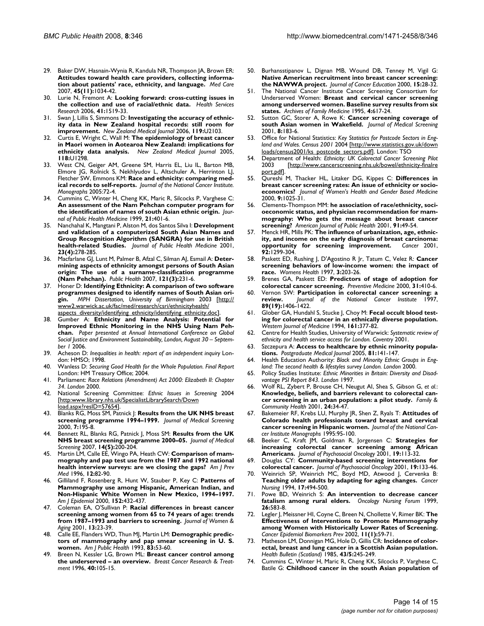- 29. Baker DW, Hasnain-Wynia R, Kandula NR, Thompson JA, Brown ER: **[Attitudes toward health care providers, collecting informa](http://www.ncbi.nlm.nih.gov/entrez/query.fcgi?cmd=Retrieve&db=PubMed&dopt=Abstract&list_uids=18049343)[tion about patients' race, ethnicity, and language.](http://www.ncbi.nlm.nih.gov/entrez/query.fcgi?cmd=Retrieve&db=PubMed&dopt=Abstract&list_uids=18049343)** *Med Care* 2007, **45(11):**1034-42.
- 30. Lurie N, Fremont A: **[Looking forward: cross-cutting issues in](http://www.ncbi.nlm.nih.gov/entrez/query.fcgi?cmd=Retrieve&db=PubMed&dopt=Abstract&list_uids=16899022) [the collection and use of racial/ethnic data.](http://www.ncbi.nlm.nih.gov/entrez/query.fcgi?cmd=Retrieve&db=PubMed&dopt=Abstract&list_uids=16899022)** *Health Services Research* 2006, **41:**1519-33.
- 31. Swan J, Lillis S, Simmons D: **[Investigating the accuracy of ethnic](http://www.ncbi.nlm.nih.gov/entrez/query.fcgi?cmd=Retrieve&db=PubMed&dopt=Abstract&list_uids=16912721)[ity data in New Zealand hospital records: still room for](http://www.ncbi.nlm.nih.gov/entrez/query.fcgi?cmd=Retrieve&db=PubMed&dopt=Abstract&list_uids=16912721) [improvement.](http://www.ncbi.nlm.nih.gov/entrez/query.fcgi?cmd=Retrieve&db=PubMed&dopt=Abstract&list_uids=16912721)** *New Zealand Medical Journal* 2006, **119:**U2103.
- 32. Curtis E, Wright C, Wall M: **[The epidemiology of breast cancer](http://www.ncbi.nlm.nih.gov/entrez/query.fcgi?cmd=Retrieve&db=PubMed&dopt=Abstract&list_uids=15711631) [in Maori women in Aotearoa New Zealand: implications for](http://www.ncbi.nlm.nih.gov/entrez/query.fcgi?cmd=Retrieve&db=PubMed&dopt=Abstract&list_uids=15711631) [ethnicity data analysis.](http://www.ncbi.nlm.nih.gov/entrez/query.fcgi?cmd=Retrieve&db=PubMed&dopt=Abstract&list_uids=15711631)** *New Zealand Medical Journal* 2005, **118:**U1298.
- 33. West CN, Geiger AM, Greene SM, Harris EL, Liu IL, Barton MB, Elmore JG, Rolnick S, Nekhlyudov L, Altschuler A, Herrinton LJ, Fletcher SW, Emmons KM: **[Race and ethnicity: comparing med](http://www.ncbi.nlm.nih.gov/entrez/query.fcgi?cmd=Retrieve&db=PubMed&dopt=Abstract&list_uids=16287889)[ical records to self-reports.](http://www.ncbi.nlm.nih.gov/entrez/query.fcgi?cmd=Retrieve&db=PubMed&dopt=Abstract&list_uids=16287889)** *Journal of the National Cancer Institute. Monographs* 2005:72-4.
- 34. Cummins C, Winter H, Cheng KK, Maric R, Silcocks P, Varghese C: **[An assessment of the Nam Pehchan computer program for](http://www.ncbi.nlm.nih.gov/entrez/query.fcgi?cmd=Retrieve&db=PubMed&dopt=Abstract&list_uids=11469361) [the identification of names of south Asian ethnic origin.](http://www.ncbi.nlm.nih.gov/entrez/query.fcgi?cmd=Retrieve&db=PubMed&dopt=Abstract&list_uids=11469361)** *Journal of Public Health Medicine* 1999, **21:**401-6.
- 35. Nanchahal K, Mangtani P, Alston M, dos Santos Silva I: **[Development](http://www.ncbi.nlm.nih.gov/entrez/query.fcgi?cmd=Retrieve&db=PubMed&dopt=Abstract&list_uids=11873889) [and validation of a computerized South Asian Names and](http://www.ncbi.nlm.nih.gov/entrez/query.fcgi?cmd=Retrieve&db=PubMed&dopt=Abstract&list_uids=11873889) Group Recognition Algorithm (SANGRA) for use in British [health-related Studies.](http://www.ncbi.nlm.nih.gov/entrez/query.fcgi?cmd=Retrieve&db=PubMed&dopt=Abstract&list_uids=11873889)** *Journal of Public Health Medicine* 2001, **23(4):**278-285.
- 36. Macfarlane GJ, Lunt M, Palmer B, Afzal C, Silman AJ, Esmail A: **[Deter](http://www.ncbi.nlm.nih.gov/entrez/query.fcgi?cmd=Retrieve&db=PubMed&dopt=Abstract&list_uids=17240412)[mining aspects of ethnicity amongst persons of South Asian](http://www.ncbi.nlm.nih.gov/entrez/query.fcgi?cmd=Retrieve&db=PubMed&dopt=Abstract&list_uids=17240412) origin: The use of a surname-classification programme [\(Nam Pehchan\).](http://www.ncbi.nlm.nih.gov/entrez/query.fcgi?cmd=Retrieve&db=PubMed&dopt=Abstract&list_uids=17240412)** *Public Health* 2007, **121(3):**231-6.
- 37. Honer D: **Identifying Ethnicity: A comparison of two software programmes designed to identify names of South Asian origin.** *MPH Dissertation, University of Birmingham* 2003 [[http://](http://www2.warwick.ac.uk/fac/med/research/csri/ethnicityhealth/aspects_diversity/identifying_ethnicity/identifying_ethnicity.doc) [www2.warwick.ac.uk/fac/med/research/csri/ethnicityhealth/](http://www2.warwick.ac.uk/fac/med/research/csri/ethnicityhealth/aspects_diversity/identifying_ethnicity/identifying_ethnicity.doc) [aspects\\_diversity/identifying\\_ethnicity/identifying\\_ethnicity.doc](http://www2.warwick.ac.uk/fac/med/research/csri/ethnicityhealth/aspects_diversity/identifying_ethnicity/identifying_ethnicity.doc)]
- 38. Gumber A: **Ethnicity and Name Analysis: Potential for Improved Ethnic Monitoring in the NHS Using Nam Pehchan.** *Paper presented at Annual International Conference on Global Social Justice and Environment Sustainability, London, August 30 – September 1* 2006.
- 39. Acheson D: *Inequalities in health: report of an independent inquiry* London: HMSO; 1998.
- 40. Wanless D: *Securing Good Health for the Whole Population. Final Report* London: HM Treasury Office; 2004.
- 41. Parliament: *Race Relations (Amendment) Act 2000: Elizabeth II: Chapter 34. London* 2000.
- 42. National Screening Committee: *Ethnic Issues in Screening* 2004 [[http:www.library.nhs.uk/SpecialistLibrarySearch/Down](http://www.library.nhs.uk/SpecialistLibrarySearch/Download.aspx?resID=57654) [load.aspx?resID=57654](http://www.library.nhs.uk/SpecialistLibrarySearch/Download.aspx?resID=57654)].
- 43. Blanks RG, Moss SM, Patnick J: **[Results from the UK NHS breast](http://www.ncbi.nlm.nih.gov/entrez/query.fcgi?cmd=Retrieve&db=PubMed&dopt=Abstract&list_uids=11202586) [screening programme 1994–1999.](http://www.ncbi.nlm.nih.gov/entrez/query.fcgi?cmd=Retrieve&db=PubMed&dopt=Abstract&list_uids=11202586)** *Journal of Medical Screening* 2000, **7:**195-8.
- 44. Bennett RL, Blanks RG, Patnick J, Moss SM: **[Results from the UK](http://www.ncbi.nlm.nih.gov/entrez/query.fcgi?cmd=Retrieve&db=PubMed&dopt=Abstract&list_uids=18078565) [NHS breast screening programme 2000–05.](http://www.ncbi.nlm.nih.gov/entrez/query.fcgi?cmd=Retrieve&db=PubMed&dopt=Abstract&list_uids=18078565)** *Journal of Medical Screening* 2007, **14(5):**200-204.
- 45. Martin LM, Calle EE, Wingo PA, Heath CW: **[Comparison of mam](http://www.ncbi.nlm.nih.gov/entrez/query.fcgi?cmd=Retrieve&db=PubMed&dopt=Abstract&list_uids=8777072)[mography and pap test use from the 1987 and 1992 national](http://www.ncbi.nlm.nih.gov/entrez/query.fcgi?cmd=Retrieve&db=PubMed&dopt=Abstract&list_uids=8777072) [health interview surveys: are we closing the gaps?](http://www.ncbi.nlm.nih.gov/entrez/query.fcgi?cmd=Retrieve&db=PubMed&dopt=Abstract&list_uids=8777072)** *Am J Prev Med* 1996, **12:**82-90.
- 46. Gilliland F, Rosenberg R, Hunt W, Stauber P, Key C: **[Patterns of](http://www.ncbi.nlm.nih.gov/entrez/query.fcgi?cmd=Retrieve&db=PubMed&dopt=Abstract&list_uids=10981456) [Mammography use among Hispanic, American Indian, and](http://www.ncbi.nlm.nih.gov/entrez/query.fcgi?cmd=Retrieve&db=PubMed&dopt=Abstract&list_uids=10981456) Non-Hispanic White Women in New Mexico, 1994–1997.** *Am J Epidemiol* 2000, **152:**432-437.
- 47. Coleman EA, O'Sullivan P: **[Racial differences in breast cancer](http://www.ncbi.nlm.nih.gov/entrez/query.fcgi?cmd=Retrieve&db=PubMed&dopt=Abstract&list_uids=11722004) [screening among women from 65 to 74 years of age: trends](http://www.ncbi.nlm.nih.gov/entrez/query.fcgi?cmd=Retrieve&db=PubMed&dopt=Abstract&list_uids=11722004) [from 1987–1993 and barriers to screening.](http://www.ncbi.nlm.nih.gov/entrez/query.fcgi?cmd=Retrieve&db=PubMed&dopt=Abstract&list_uids=11722004)** *Journal of Women & Aging* 2001, **13:**23-39.
- 48. Calle EE, Flanders WD, Thun MJ, Martin LM: **[Demographic predic](http://www.ncbi.nlm.nih.gov/entrez/query.fcgi?cmd=Retrieve&db=PubMed&dopt=Abstract&list_uids=8417607)[tors of mammography and pap smear screening in U. S.](http://www.ncbi.nlm.nih.gov/entrez/query.fcgi?cmd=Retrieve&db=PubMed&dopt=Abstract&list_uids=8417607) [women.](http://www.ncbi.nlm.nih.gov/entrez/query.fcgi?cmd=Retrieve&db=PubMed&dopt=Abstract&list_uids=8417607)** *Am J Public Health* 1993, **83:**53-60.
- 49. Breen N, Kessler LG, Brown ML: **Breast cancer control among the underserved – an overview.** *Breast Cancer Research & Treatment* 1996, **40:**105-15.
- 50. Burhansstipanov L, Dignan MB, Wound DB, Tenney M, Vigil G: **[Native American recruitment into breast cancer screening:](http://www.ncbi.nlm.nih.gov/entrez/query.fcgi?cmd=Retrieve&db=PubMed&dopt=Abstract&list_uids=10730800) [the NAWWA project.](http://www.ncbi.nlm.nih.gov/entrez/query.fcgi?cmd=Retrieve&db=PubMed&dopt=Abstract&list_uids=10730800)** *Journal of Cancer Education* 2000, **15:**28-32.
- 51. The National Cancer Institute Cancer Screening Consortium for Underserved Women: **[Breast and cervical cancer screening](http://www.ncbi.nlm.nih.gov/entrez/query.fcgi?cmd=Retrieve&db=PubMed&dopt=Abstract&list_uids=7606299) [among underserved women. Baseline survey results from six](http://www.ncbi.nlm.nih.gov/entrez/query.fcgi?cmd=Retrieve&db=PubMed&dopt=Abstract&list_uids=7606299) [states.](http://www.ncbi.nlm.nih.gov/entrez/query.fcgi?cmd=Retrieve&db=PubMed&dopt=Abstract&list_uids=7606299)** *Archives of Family Medicine* 1995, **4:**617-24.
- 52. Sutton GC, Storer A, Rowe K: **[Cancer screening coverage of](http://www.ncbi.nlm.nih.gov/entrez/query.fcgi?cmd=Retrieve&db=PubMed&dopt=Abstract&list_uids=11743034) [south Asian women in Wakefield.](http://www.ncbi.nlm.nih.gov/entrez/query.fcgi?cmd=Retrieve&db=PubMed&dopt=Abstract&list_uids=11743034)** *Journal of Medical Screening* 2001, **8:**183-6.
- 53. Office for National Statistics: *Key Statistics for Postcode Sectors in England and Wales. Census 2001* 2004 [[http://www.statistics.gov.uk/down](http://www.statistics.gov.uk/downloads/census2001/ks_postcode_sectors.pdf) [loads/census2001/ks\\_postcode\\_sectors.pdf](http://www.statistics.gov.uk/downloads/census2001/ks_postcode_sectors.pdf)]. London: TSO
- 54. Department of Health: *Ethnicity: UK Colorectal Cancer Screening Pilot* [[http://www.cancerscreening.nhs.uk/bowel/ethnicity-finalre](http://www.cancerscreening.nhs.uk/bowel/ethnicity-finalreport.pdf) <u>[port.pdf](http://www.cancerscreening.nhs.uk/bowel/ethnicity-finalreport.pdf)]</u>.
- 55. Qureshi M, Thacker HL, Litaker DG, Kippes C: **Differences in breast cancer screening rates: An issue of ethnicity or socioeconomics?** *Journal of Women's Health and Gender Based Medicine* 2000, **9:**1025-31.
- 56. Clements-Thompson MM: **[he association of race/ethnicity, soci](http://www.ncbi.nlm.nih.gov/entrez/query.fcgi?cmd=Retrieve&db=PubMed&dopt=Abstract&list_uids=11189825)[oeconomic status, and physician recommendation for mam](http://www.ncbi.nlm.nih.gov/entrez/query.fcgi?cmd=Retrieve&db=PubMed&dopt=Abstract&list_uids=11189825)mography: Who gets the message about breast cancer [screening?](http://www.ncbi.nlm.nih.gov/entrez/query.fcgi?cmd=Retrieve&db=PubMed&dopt=Abstract&list_uids=11189825)** *American Journal of Public Health* 2001, **91:**49-54.
- 57. Menck HR, Mills PK: **[The influence of urbanization, age, ethnic](http://www.ncbi.nlm.nih.gov/entrez/query.fcgi?cmd=Retrieve&db=PubMed&dopt=Abstract&list_uids=11571746)[ity, and income on the early diagnosis of breast carcinoma:](http://www.ncbi.nlm.nih.gov/entrez/query.fcgi?cmd=Retrieve&db=PubMed&dopt=Abstract&list_uids=11571746) [opportunity for screening improvement.](http://www.ncbi.nlm.nih.gov/entrez/query.fcgi?cmd=Retrieve&db=PubMed&dopt=Abstract&list_uids=11571746) 92:**1299-304.
- 58. Paskett ED, Rushing J, D'Agostino R Jr, Tatum C, Velez R: **[Cancer](http://www.ncbi.nlm.nih.gov/entrez/query.fcgi?cmd=Retrieve&db=PubMed&dopt=Abstract&list_uids=9426494) [screening behaviors of low-income women: the impact of](http://www.ncbi.nlm.nih.gov/entrez/query.fcgi?cmd=Retrieve&db=PubMed&dopt=Abstract&list_uids=9426494) [race.](http://www.ncbi.nlm.nih.gov/entrez/query.fcgi?cmd=Retrieve&db=PubMed&dopt=Abstract&list_uids=9426494)** *Womens Health* 1997, **3:**203-26.
- 59. Brenes GA, Paskett ED: **[Predictors of stage of adoption for](http://www.ncbi.nlm.nih.gov/entrez/query.fcgi?cmd=Retrieve&db=PubMed&dopt=Abstract&list_uids=11006067) [colorectal cancer screening.](http://www.ncbi.nlm.nih.gov/entrez/query.fcgi?cmd=Retrieve&db=PubMed&dopt=Abstract&list_uids=11006067)** *Preventive Medicine* 2000, **31:**410-6.
- 60. Vernon SW: **[Participation in colorectal cancer screening: a](http://www.ncbi.nlm.nih.gov/entrez/query.fcgi?cmd=Retrieve&db=PubMed&dopt=Abstract&list_uids=9326910)** [review.](http://www.ncbi.nlm.nih.gov/entrez/query.fcgi?cmd=Retrieve&db=PubMed&dopt=Abstract&list_uids=9326910) Journal of the National Cancer Institute **89(19):**1406-1422.
- 61. Glober GA, Hundahl S, Stucke J, Choy M: **[Fecal occult blood test](http://www.ncbi.nlm.nih.gov/entrez/query.fcgi?cmd=Retrieve&db=PubMed&dopt=Abstract&list_uids=7817548)[ing for colorectal cancer in an ethnically diverse population.](http://www.ncbi.nlm.nih.gov/entrez/query.fcgi?cmd=Retrieve&db=PubMed&dopt=Abstract&list_uids=7817548)** *Western Journal of Medicine* 1994, **161:**377-82.
- 62. Centre for Health Studies, University of Warwick: *Systematic review of ethnicity and health service access for London. Coventry* 2001.
- 63. Szczepura A: **[Access to healthcare by ethnic minority popula](http://www.ncbi.nlm.nih.gov/entrez/query.fcgi?cmd=Retrieve&db=PubMed&dopt=Abstract&list_uids=15749788)[tions.](http://www.ncbi.nlm.nih.gov/entrez/query.fcgi?cmd=Retrieve&db=PubMed&dopt=Abstract&list_uids=15749788)** *Postgraduate Medical Journal* 2005, **81:**141-147.
- 64. Health Education Authority: *Black and Minority Ethnic Groups in England: The second health & lifestyles survey London. London* 2000.
- 65. Policy Studies Institute: *Ethnic Minorities in Britain: Diversity and Disadvantage PSI Report 843. London* 1997.
- 66. Wolf RL, Zybert P, Brouse CH, Neugut AI, Shea S, Gibson G, *et al.*: **[Knowledge, beliefs, and barriers relevant to colorectal can](http://www.ncbi.nlm.nih.gov/entrez/query.fcgi?cmd=Retrieve&db=PubMed&dopt=Abstract&list_uids=11563943)[cer screening in an urban population: a pilot study.](http://www.ncbi.nlm.nih.gov/entrez/query.fcgi?cmd=Retrieve&db=PubMed&dopt=Abstract&list_uids=11563943)** *Family & Community Health* 2001, **24:**34-47.
- 67. Bakemeier RF, Krebs LU, Murphy JR, Shen Z, Ryals T: **[Attitudes of](http://www.ncbi.nlm.nih.gov/entrez/query.fcgi?cmd=Retrieve&db=PubMed&dopt=Abstract&list_uids=8562228) [Colorado health professionals toward breast and cervical](http://www.ncbi.nlm.nih.gov/entrez/query.fcgi?cmd=Retrieve&db=PubMed&dopt=Abstract&list_uids=8562228) [cancer screening in Hispanic women.](http://www.ncbi.nlm.nih.gov/entrez/query.fcgi?cmd=Retrieve&db=PubMed&dopt=Abstract&list_uids=8562228)** *Journal of the National Cancer Institute Monographs* 1995:95-100.
- 68. Beeker C, Kraft JM, Goldman R, Jorgensen C: **Strategies for increasing colorectal cancer screening among African Americans.** *Journal of Psychosocial Oncology* 2001, **19:**113-32.
- 69. Douglas CY: **Community-based screening interventions for colorectal cancer.** *Journal of Psychosocial Oncology* 2001, **19:**133-46.
- 70. Weinrich SP, Weinrich MC, Boyd MD, Atwood J, Cervenka B: **[Teaching older adults by adapting for aging changes.](http://www.ncbi.nlm.nih.gov/entrez/query.fcgi?cmd=Retrieve&db=PubMed&dopt=Abstract&list_uids=7529659)** *Cancer Nursing* 1994, **17:**494-500.
- 71. Powe BD, Weinrich S: **[An intervention to decrease cancer](http://www.ncbi.nlm.nih.gov/entrez/query.fcgi?cmd=Retrieve&db=PubMed&dopt=Abstract&list_uids=10214599) [fatalism among rural elders.](http://www.ncbi.nlm.nih.gov/entrez/query.fcgi?cmd=Retrieve&db=PubMed&dopt=Abstract&list_uids=10214599)** *Oncology Nursing Forum* 1999, **26:**583-8.
- 72. Legler J, Meissner HI, Coyne C, Breen N, Chollette V, Rimer BK: **[The](http://www.ncbi.nlm.nih.gov/entrez/query.fcgi?cmd=Retrieve&db=PubMed&dopt=Abstract&list_uids=11815402) [Effectiveness of Interventions to Promote Mammography](http://www.ncbi.nlm.nih.gov/entrez/query.fcgi?cmd=Retrieve&db=PubMed&dopt=Abstract&list_uids=11815402) among Women with Historically Lower Rates of Screening.** *Cancer Epidemiol Biomarkers Prev* 2002, **11(1):**59-71.
- 73. Matheson LM, Donnigan MG, Hole D, Gillis CR: **Incidence of colorectal, breast and lung cancer in a Scottish Asian population.** *Health Bulletin (Scotland)* 1985, **43/5:**245-249.
- 74. Cummins C, Winter H, Maric R, Cheng KK, Silcocks P, Varghese C, Batile G: **[Childhood cancer in the south Asian population of](http://www.ncbi.nlm.nih.gov/entrez/query.fcgi?cmd=Retrieve&db=PubMed&dopt=Abstract&list_uids=11336473)**